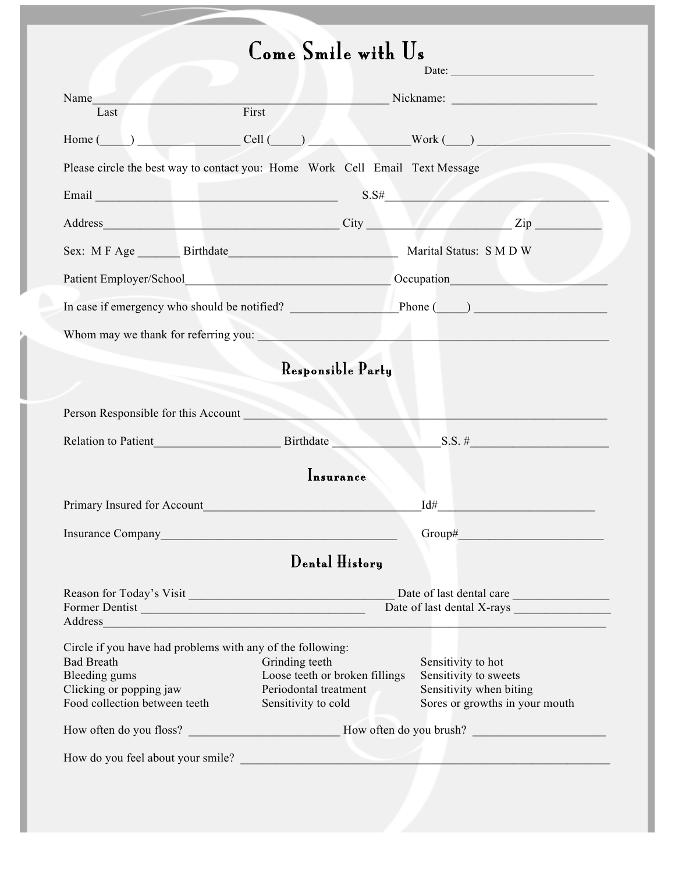# Come Smile with Us

|                                                                              |                                                          | Date:                                                                                                                                                                                                                          |
|------------------------------------------------------------------------------|----------------------------------------------------------|--------------------------------------------------------------------------------------------------------------------------------------------------------------------------------------------------------------------------------|
| Name                                                                         |                                                          | Nickname: 2008. Engine State Street, and the Street Street Street Street Street Street Street Street Street Street Street Street Street Street Street Street Street Street Street Street Street Street Street Street Street St |
| Last                                                                         | First                                                    |                                                                                                                                                                                                                                |
| Cell (<br>Home (                                                             |                                                          | $Work(\_)$                                                                                                                                                                                                                     |
| Please circle the best way to contact you: Home Work Cell Email Text Message |                                                          |                                                                                                                                                                                                                                |
|                                                                              |                                                          | S.S#                                                                                                                                                                                                                           |
|                                                                              |                                                          |                                                                                                                                                                                                                                |
| Sex: M F Age Birthdate Birthdate Marital Status: S M D W                     |                                                          |                                                                                                                                                                                                                                |
| Patient Employer/School Cocupation Cocupation                                |                                                          |                                                                                                                                                                                                                                |
|                                                                              |                                                          | In case if emergency who should be notified? Phone (CO)                                                                                                                                                                        |
|                                                                              |                                                          | Whom may we thank for referring you:                                                                                                                                                                                           |
|                                                                              | Responsible Party                                        |                                                                                                                                                                                                                                |
|                                                                              |                                                          |                                                                                                                                                                                                                                |
| Person Responsible for this Account                                          |                                                          |                                                                                                                                                                                                                                |
| Relation to Patient Birthdate                                                |                                                          | $S.S.$ #                                                                                                                                                                                                                       |
|                                                                              | Insurance                                                |                                                                                                                                                                                                                                |
| Primary Insured for Account Primary Insured for Account                      |                                                          | Id#<br>the control of the control of the control                                                                                                                                                                               |
| <b>Insurance Company</b>                                                     | <u> 1980 - Jan Stein Berlin, Amerikaansk politiker (</u> |                                                                                                                                                                                                                                |
|                                                                              |                                                          |                                                                                                                                                                                                                                |
|                                                                              | $\mathbf{Dend}$ History                                  |                                                                                                                                                                                                                                |
| Reason for Today's Visit                                                     |                                                          | Date of last dental care                                                                                                                                                                                                       |
| Former Dentist                                                               |                                                          | Date of last dental X-rays                                                                                                                                                                                                     |
| Address                                                                      |                                                          | <u> 1989 - Jan Samuel Barbara, margaret a shekara ta 1989 - An tsara tsara tsara tsara tsara tsara tsara tsara t</u>                                                                                                           |
| Circle if you have had problems with any of the following:                   |                                                          |                                                                                                                                                                                                                                |
| <b>Bad Breath</b>                                                            | Grinding teeth                                           | Sensitivity to hot                                                                                                                                                                                                             |
| Bleeding gums                                                                | Loose teeth or broken fillings                           | Sensitivity to sweets                                                                                                                                                                                                          |
| Clicking or popping jaw<br>Food collection between teeth                     | Periodontal treatment<br>Sensitivity to cold             | Sensitivity when biting<br>Sores or growths in your mouth                                                                                                                                                                      |
|                                                                              |                                                          |                                                                                                                                                                                                                                |
|                                                                              |                                                          |                                                                                                                                                                                                                                |
| How do you feel about your smile?                                            |                                                          |                                                                                                                                                                                                                                |
|                                                                              |                                                          |                                                                                                                                                                                                                                |
|                                                                              |                                                          |                                                                                                                                                                                                                                |
|                                                                              |                                                          |                                                                                                                                                                                                                                |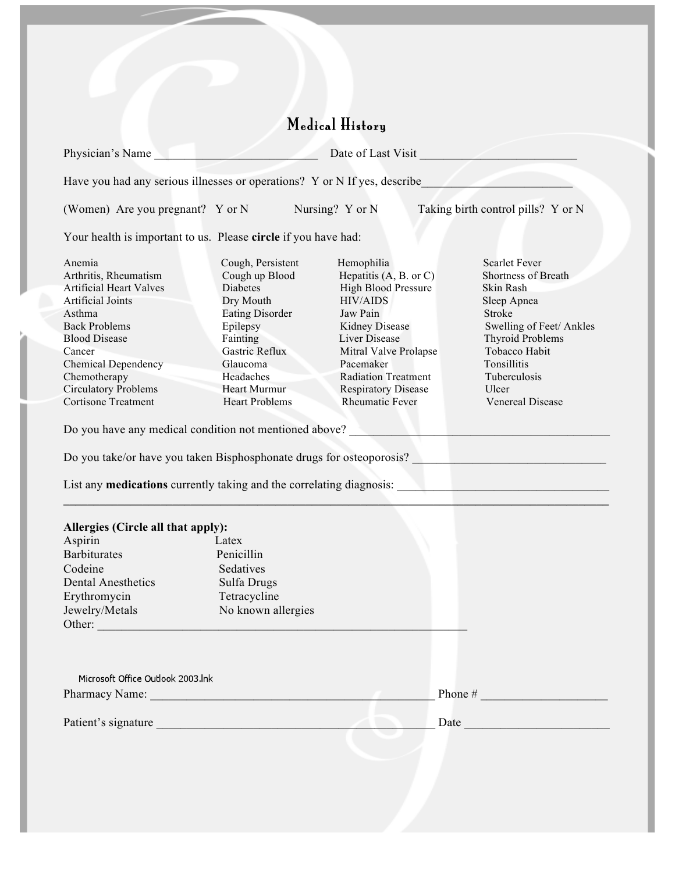## Medical History Physician's Name \_\_\_\_\_\_\_\_\_\_\_\_\_\_\_\_\_\_\_\_\_\_\_\_\_\_\_ Date of Last Visit \_\_\_\_\_\_\_\_\_\_\_\_\_\_\_\_\_\_\_\_\_\_\_\_\_\_ Have you had any serious illnesses or operations? Y or N If yes, describe\_\_\_\_\_\_\_\_\_\_\_\_\_\_\_\_\_\_\_\_\_\_\_\_\_ (Women) Are you pregnant? Y or N Nursing? Y or N Taking birth control pills? Y or N Your health is important to us. Please **circle** if you have had: Anemia Cough, Persistent Hemophilia Scarlet Fever Arthritis, Rheumatism Cough up Blood Hepatitis (A, B. or C) Shortness of Breath Artificial Heart Valves Diabetes High Blood Pressure Skin Rash Artificial Joints **Dry Mouth** HIV/AIDS Sleep Apnea Asthma **Eating Disorder** Jaw Pain Stroke Back Problems Epilepsy Epilepsy Kidney Disease Swelling of Feet/ Ankles Blood Disease Fainting Liver Disease Thyroid Problems Cancer Gastric Reflux Mitral Valve Prolapse Tobacco Habit Chemical Dependency Glaucoma Pacemaker Tonsillitis Chemotherapy Headaches Radiation Treatment Tuberculosis Circulatory Problems Heart Murmur Respiratory Disease Ulcer Cortisone Treatment Heart Problems Rheumatic Fever Venereal Disease Do you have any medical condition not mentioned above? Do you take/or have you taken Bisphosphonate drugs for osteoporosis? List any **medications** currently taking and the correlating diagnosis:  $\mathcal{L}_\mathcal{A}$  , and the set of the set of the set of the set of the set of the set of the set of the set of the set of the set of the set of the set of the set of the set of the set of the set of the set of the set of th **Allergies (Circle all that apply):** Aspirin Latex Barbiturates Penicillin Codeine Sedatives Dental Anesthetics Sulfa Drugs Erythromycin Tetracycline Jewelry/Metals No known allergies Other: \_\_\_\_\_\_\_\_\_\_\_\_\_\_\_\_\_\_\_\_\_\_\_\_\_\_\_\_\_\_\_\_\_\_\_\_\_\_\_\_\_\_\_\_\_\_\_\_\_\_\_\_\_\_\_\_\_\_\_\_\_ Microsoft Office Outlook 2003.lnk Pharmacy Name: \_\_\_\_\_\_\_\_\_\_\_\_\_\_\_\_\_\_\_\_\_\_\_\_\_\_\_\_\_\_\_\_\_\_\_\_\_\_\_\_\_\_\_\_\_\_\_ Phone # \_\_\_\_\_\_\_\_\_\_\_\_\_\_\_\_\_\_\_\_\_ Patient's signature and the set of the set of the set of the set of the set of the set of the set of the set of the set of the set of the set of the set of the set of the set of the set of the set of the set of the set of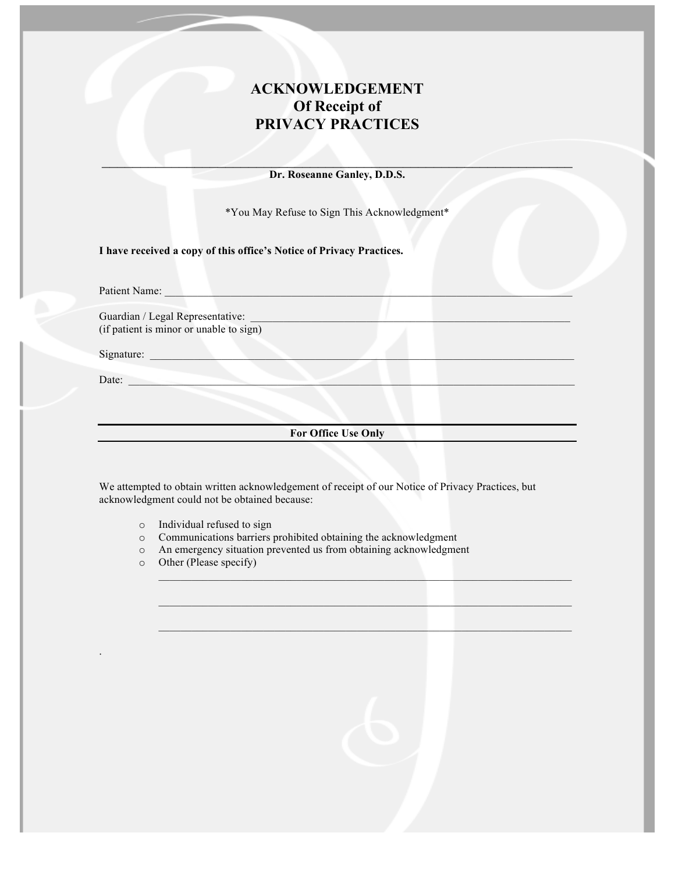#### **ACKNOWLEDGEMENT Of Receipt of PRIVACY PRACTICES**

\_\_\_\_\_\_\_\_\_\_\_\_\_\_\_\_\_\_\_\_\_\_\_\_\_\_\_\_\_\_\_\_\_\_\_\_\_\_\_\_\_\_\_\_\_\_\_\_\_\_\_\_\_\_\_\_\_\_\_\_\_ **Dr. Roseanne Ganley, D.D.S.**

\*You May Refuse to Sign This Acknowledgment\*

**I have received a copy of this office's Notice of Privacy Practices.**

Patient Name:

Guardian / Legal Representative: (if patient is minor or unable to sign)

Signature: \_\_\_\_\_\_\_\_\_\_\_\_\_\_\_\_\_\_\_\_\_\_\_\_\_\_\_\_\_\_\_\_\_\_\_\_\_\_\_\_\_\_\_\_\_\_\_\_\_\_\_\_\_\_\_\_\_\_\_\_\_\_\_\_\_\_\_\_\_\_\_\_\_\_\_\_\_

Date:

.

**For Office Use Only**

 $\mathcal{L}_\mathcal{L}$  , and the set of the set of the set of the set of the set of the set of the set of the set of the set of the set of the set of the set of the set of the set of the set of the set of the set of the set of th

We attempted to obtain written acknowledgement of receipt of our Notice of Privacy Practices, but acknowledgment could not be obtained because:

- o Individual refused to sign
- o Communications barriers prohibited obtaining the acknowledgment
- o An emergency situation prevented us from obtaining acknowledgment
- o Other (Please specify)